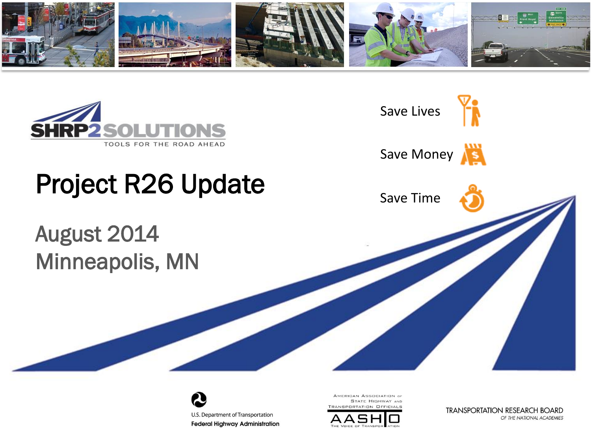





AMERICAN ASSOCIATION of **STATE HIGHWAY AND TRANSPORTATION OFFICIALS** 



**TRANSPORTATION RESEARCH BOARD** OF THE NATIONAL ACADEMIES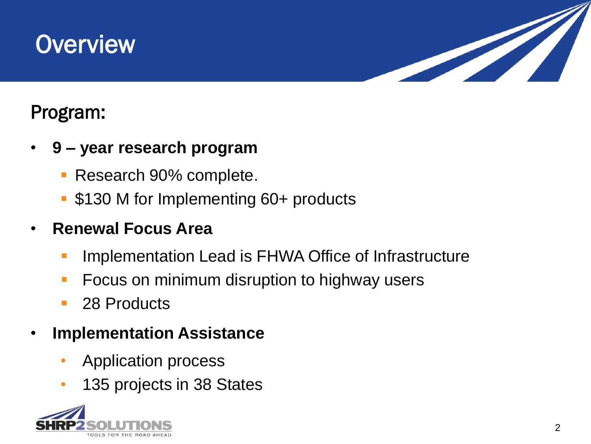# **Overview**



#### Program:

- **9 – year research program**
	- **Research 90% complete.**
	- \$130 M for Implementing 60+ products

#### • **Renewal Focus Area**

- **Implementation Lead is FHWA Office of Infrastructure**
- **FICUME:** Focus on minimum disruption to highway users
- 28 Products
- **Implementation Assistance**
	- Application process
	- 135 projects in 38 States

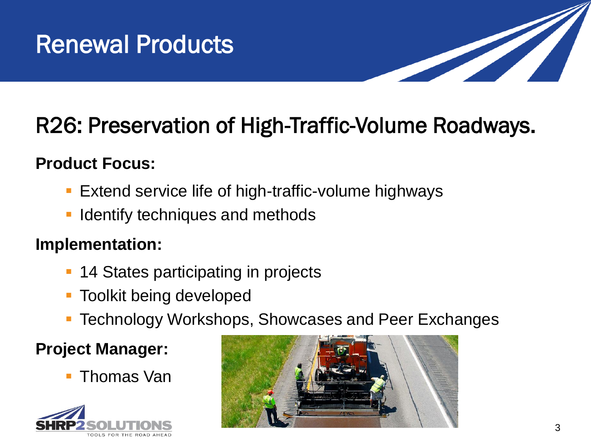

# R26: Preservation of High-Traffic-Volume Roadways.

#### **Product Focus:**

- **Extend service life of high-traffic-volume highways**
- Identify techniques and methods

#### **Implementation:**

- 14 States participating in projects
- Toolkit being developed
- Technology Workshops, Showcases and Peer Exchanges

#### **Project Manager:**

Thomas Van



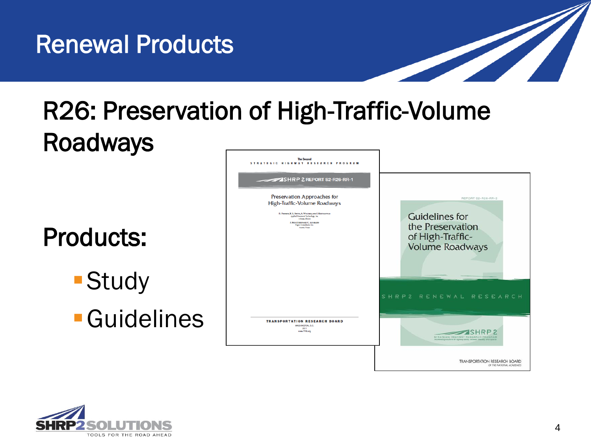

# R26: Preservation of High-Traffic-Volume Roadways

# Products:

**Study** 

Guidelines



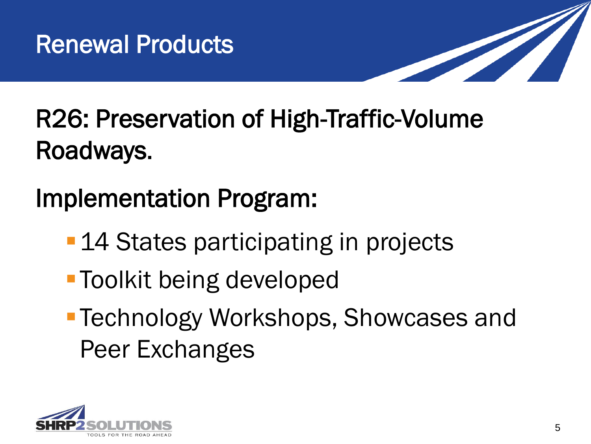

# R26: Preservation of High-Traffic-Volume Roadways.

Implementation Program:

- **-14 States participating in projects**
- **Toolkit being developed**
- Technology Workshops, Showcases and Peer Exchanges

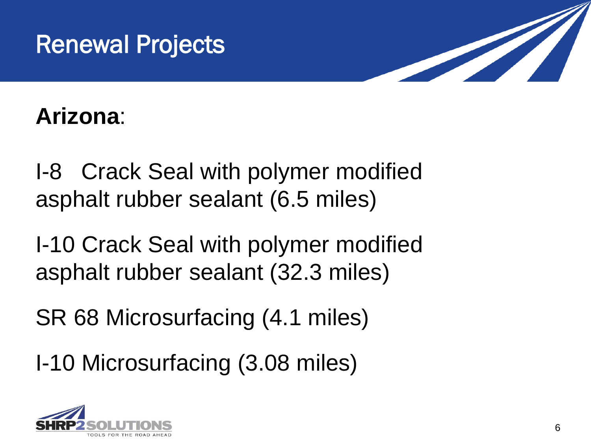



## **Arizona**:

I-8 Crack Seal with polymer modified asphalt rubber sealant (6.5 miles)

I-10 Crack Seal with polymer modified asphalt rubber sealant (32.3 miles)

SR 68 Microsurfacing (4.1 miles)

I-10 Microsurfacing (3.08 miles)

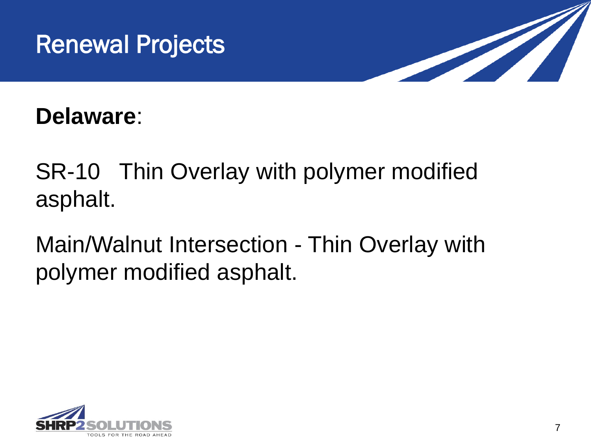



**Delaware**:

SR-10 Thin Overlay with polymer modified asphalt.

Main/Walnut Intersection - Thin Overlay with polymer modified asphalt.

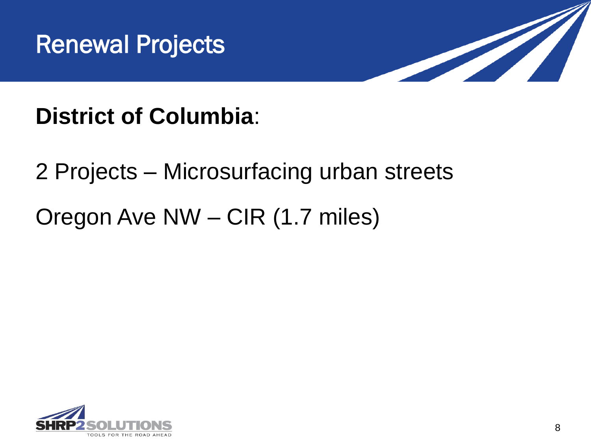



# **District of Columbia**:

### 2 Projects – Microsurfacing urban streets

## Oregon Ave NW – CIR (1.7 miles)

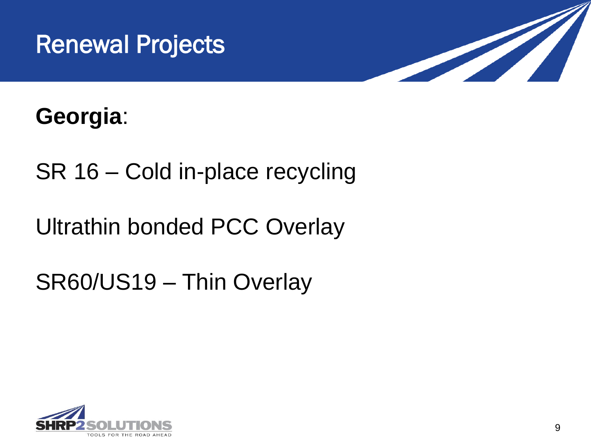



## **Georgia**:

SR 16 – Cold in-place recycling

Ultrathin bonded PCC Overlay

SR60/US19 – Thin Overlay

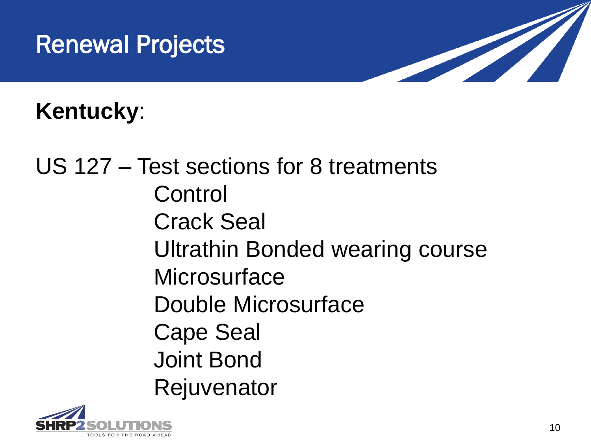# Renewal Projects



# **Kentucky**:

US 127 – Test sections for 8 treatments Control Crack Seal Ultrathin Bonded wearing course **Microsurface** Double Microsurface Cape Seal Joint Bond Rejuvenator

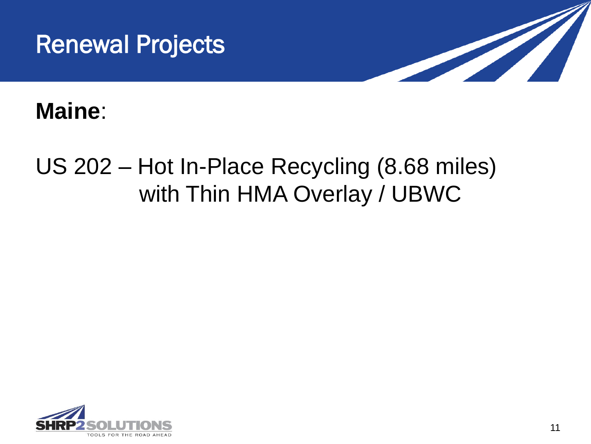



#### **Maine**:

# US 202 – Hot In-Place Recycling (8.68 miles) with Thin HMA Overlay / UBWC

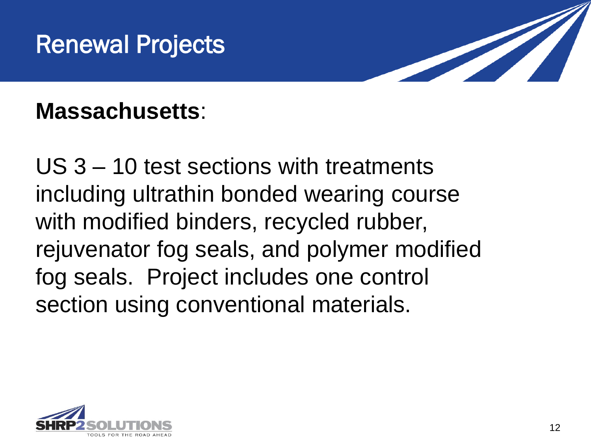# Renewal Projects



**Massachusetts**:

US 3 – 10 test sections with treatments including ultrathin bonded wearing course with modified binders, recycled rubber, rejuvenator fog seals, and polymer modified fog seals. Project includes one control section using conventional materials.

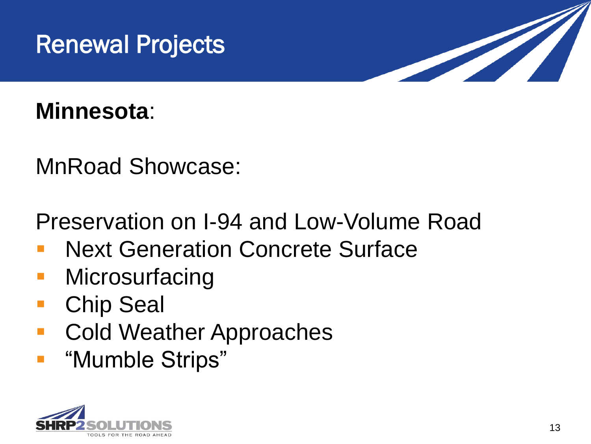



#### **Minnesota**:

MnRoad Showcase:

Preservation on I-94 and Low-Volume Road

- Next Generation Concrete Surface
- **Microsurfacing**
- Chip Seal
- Cold Weather Approaches
- "Mumble Strips"

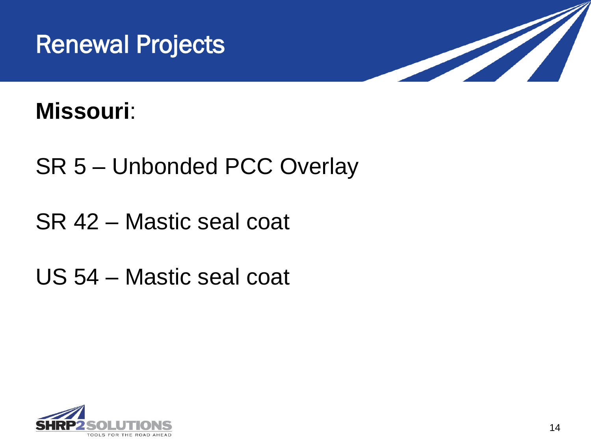



### **Missouri**:

- SR 5 Unbonded PCC Overlay
- SR 42 Mastic seal coat
- US 54 Mastic seal coat

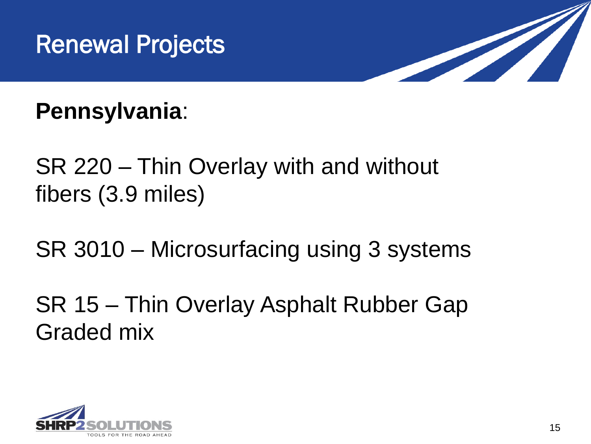



**Pennsylvania**:

SR 220 – Thin Overlay with and without fibers (3.9 miles)

SR 3010 – Microsurfacing using 3 systems

SR 15 – Thin Overlay Asphalt Rubber Gap Graded mix

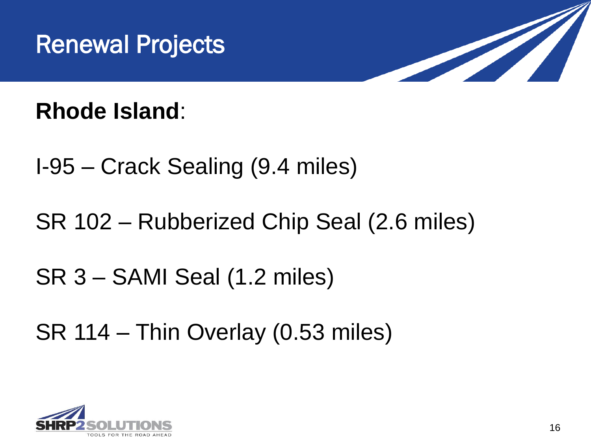



**Rhode Island**:

- I-95 Crack Sealing (9.4 miles)
- SR 102 Rubberized Chip Seal (2.6 miles)

## SR 3 – SAMI Seal (1.2 miles)

SR 114 – Thin Overlay (0.53 miles)

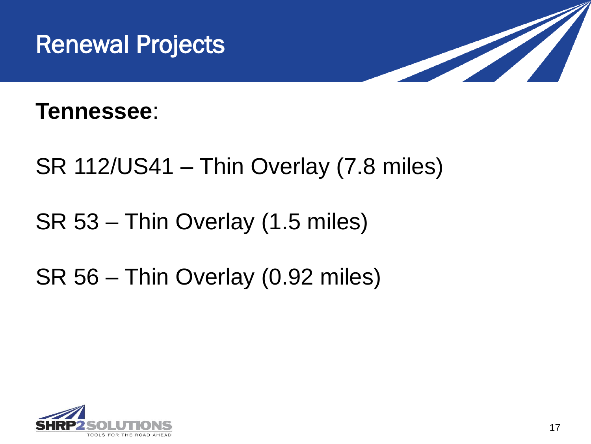



#### **Tennessee**:

- SR 112/US41 Thin Overlay (7.8 miles)
- SR 53 Thin Overlay (1.5 miles)

# SR 56 – Thin Overlay (0.92 miles)

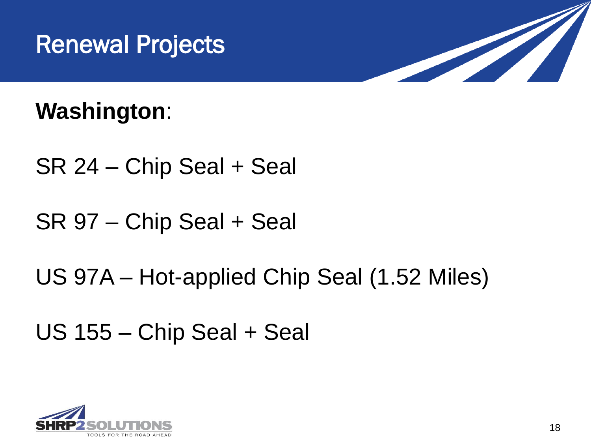



### **Washington**:

- SR 24 Chip Seal + Seal
- SR 97 Chip Seal + Seal
- US 97A Hot-applied Chip Seal (1.52 Miles)
- US 155 Chip Seal + Seal

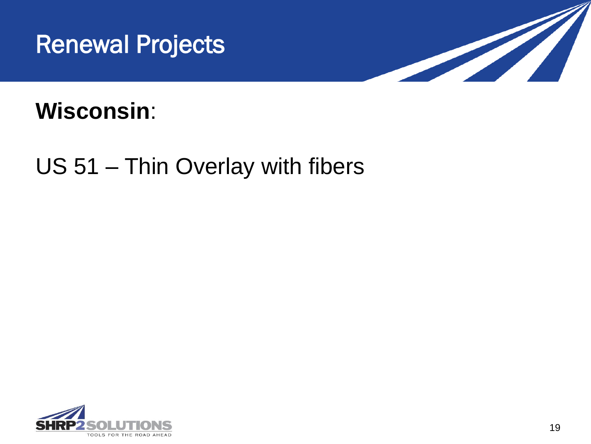



### **Wisconsin**:

## US 51 – Thin Overlay with fibers

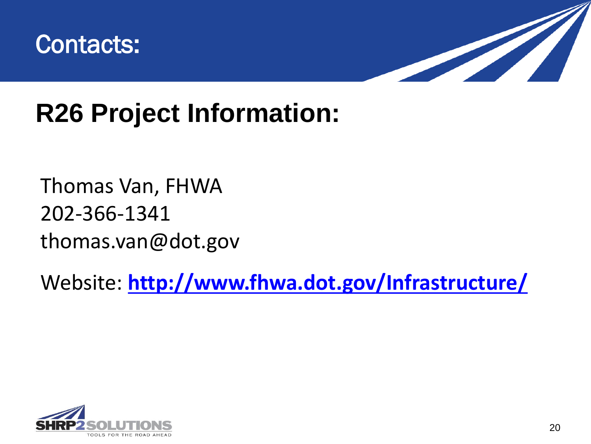



# **R26 Project Information:**

### Thomas Van, FHWA 202-366-1341 thomas.van@dot.gov

Website: **<http://www.fhwa.dot.gov/Infrastructure/>**

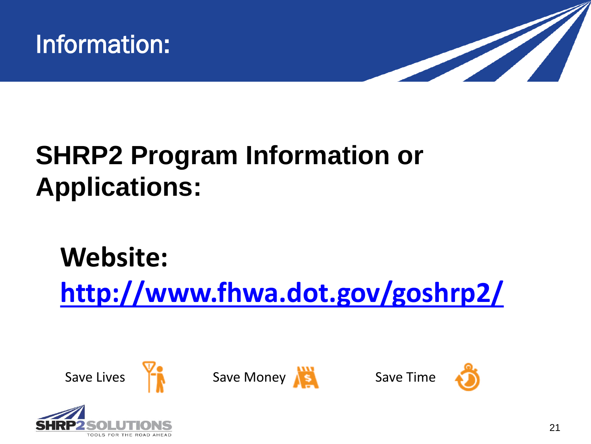



# **SHRP2 Program Information or Applications:**

# **Website: <http://www.fhwa.dot.gov/goshrp2/>**